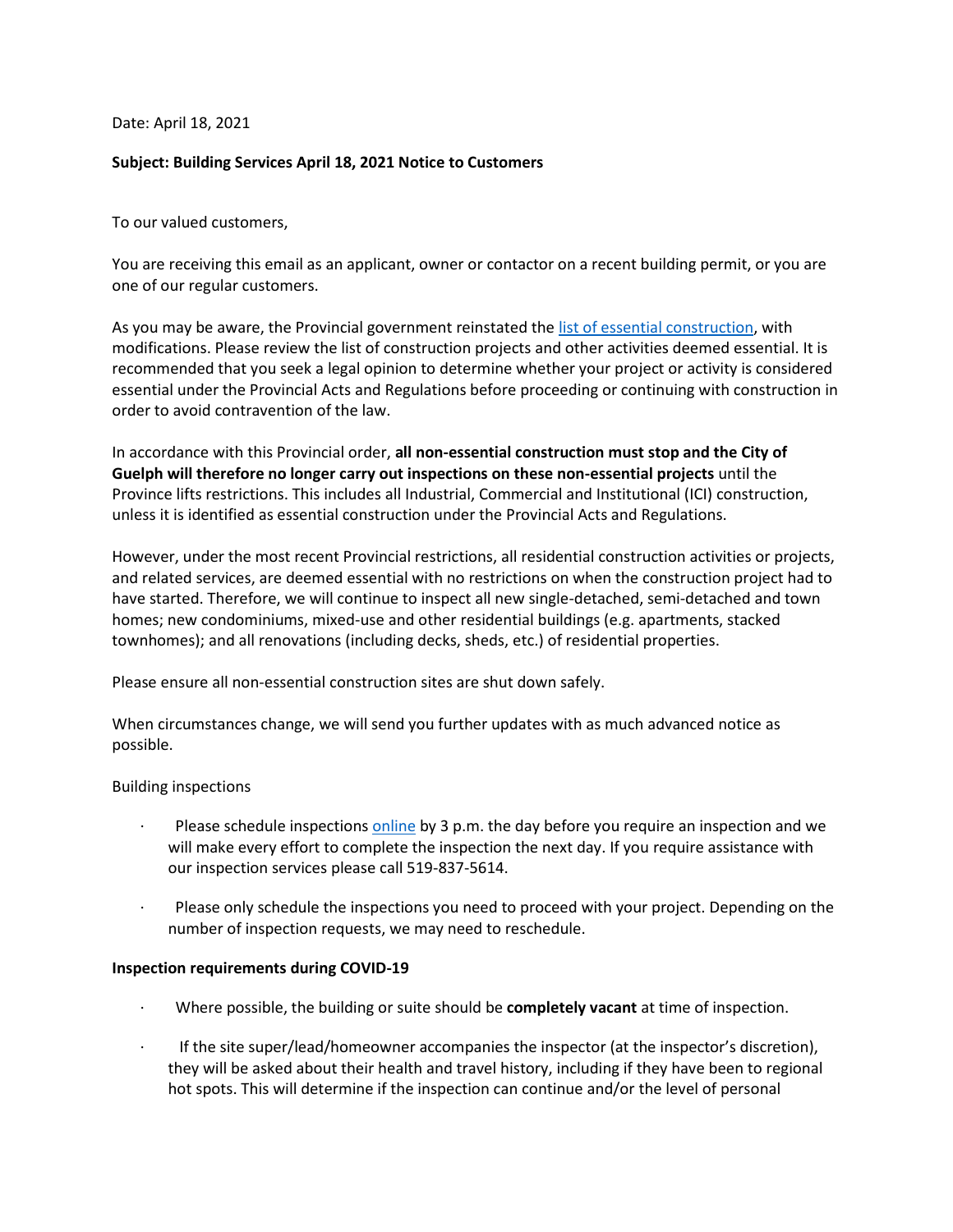Date: April 18, 2021

# **Subject: Building Services April 18, 2021 Notice to Customers**

To our valued customers,

You are receiving this email as an applicant, owner or contactor on a recent building permit, or you are one of our regular customers.

As you may be aware, the Provincial government reinstated the [list of essential construction,](https://www.ontario.ca/page/enhancing-public-health-and-workplace-safety-measures-provincewide-shutdown#essential-construction) with modifications. Please review the list of construction projects and other activities deemed essential. It is recommended that you seek a legal opinion to determine whether your project or activity is considered essential under the Provincial Acts and Regulations before proceeding or continuing with construction in order to avoid contravention of the law.

In accordance with this Provincial order, **all non-essential construction must stop and the City of Guelph will therefore no longer carry out inspections on these non-essential projects** until the Province lifts restrictions. This includes all Industrial, Commercial and Institutional (ICI) construction, unless it is identified as essential construction under the Provincial Acts and Regulations.

However, under the most recent Provincial restrictions, all residential construction activities or projects, and related services, are deemed essential with no restrictions on when the construction project had to have started. Therefore, we will continue to inspect all new single-detached, semi-detached and town homes; new condominiums, mixed-use and other residential buildings (e.g. apartments, stacked townhomes); and all renovations (including decks, sheds, etc.) of residential properties.

Please ensure all non-essential construction sites are shut down safely.

When circumstances change, we will send you further updates with as much advanced notice as possible.

### Building inspections

- Please schedule inspections [online](https://gpas.guelph.ca/Guelph/sfjsp?interviewID=SignOn) by 3 p.m. the day before you require an inspection and we will make every effort to complete the inspection the next day. If you require assistance with our inspection services please call 519-837-5614.
- Please only schedule the inspections you need to proceed with your project. Depending on the number of inspection requests, we may need to reschedule.

### **Inspection requirements during COVID-19**

- · Where possible, the building or suite should be **completely vacant** at time of inspection.
- · If the site super/lead/homeowner accompanies the inspector (at the inspector's discretion), they will be asked about their health and travel history, including if they have been to regional hot spots. This will determine if the inspection can continue and/or the level of personal